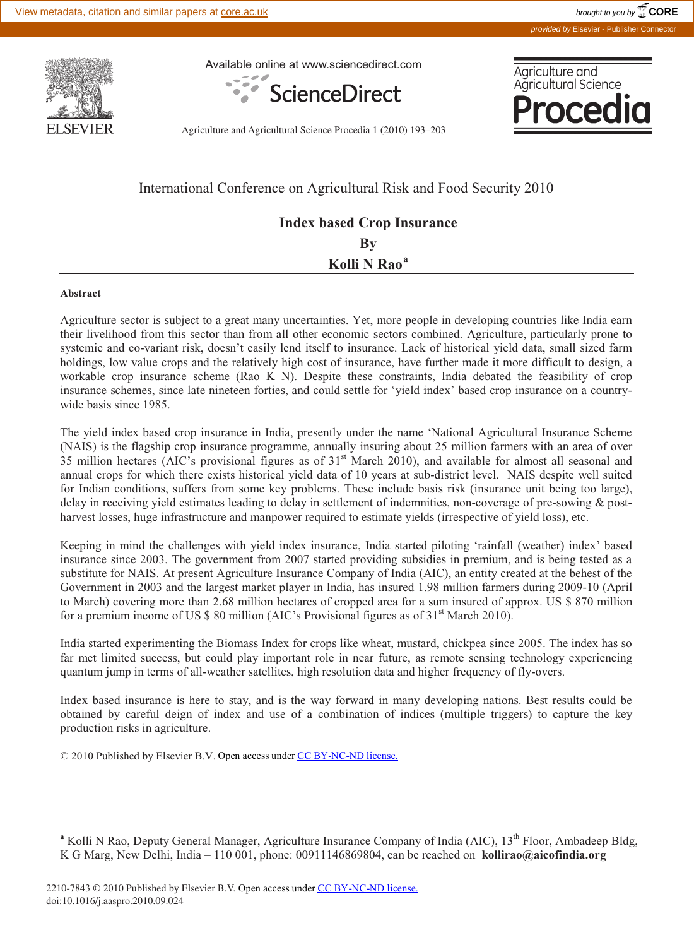

Available online at www.sciencedirect.com





Agriculture and Agricultural Science Procedia 1 (2010) 193–203

# International Conference on Agricultural Risk and Food Security 2010

# **Index based Crop Insurance By Kolli N Rao<sup>a</sup>**

#### **Abstract**

Agriculture sector is subject to a great many uncertainties. Yet, more people in developing countries like India earn their livelihood from this sector than from all other economic sectors combined. Agriculture, particularly prone to systemic and co-variant risk, doesn't easily lend itself to insurance. Lack of historical yield data, small sized farm holdings, low value crops and the relatively high cost of insurance, have further made it more difficult to design, a workable crop insurance scheme (Rao K N). Despite these constraints, India debated the feasibility of crop insurance schemes, since late nineteen forties, and could settle for 'yield index' based crop insurance on a countrywide basis since 1985.

The yield index based crop insurance in India, presently under the name 'National Agricultural Insurance Scheme (NAIS) is the flagship crop insurance programme, annually insuring about 25 million farmers with an area of over 35 million hectares (AIC's provisional figures as of  $31<sup>st</sup>$  March 2010), and available for almost all seasonal and annual crops for which there exists historical yield data of 10 years at sub-district level. NAIS despite well suited for Indian conditions, suffers from some key problems. These include basis risk (insurance unit being too large), delay in receiving yield estimates leading to delay in settlement of indemnities, non-coverage of pre-sowing & postharvest losses, huge infrastructure and manpower required to estimate yields (irrespective of yield loss), etc.

Keeping in mind the challenges with yield index insurance, India started piloting 'rainfall (weather) index' based insurance since 2003. The government from 2007 started providing subsidies in premium, and is being tested as a substitute for NAIS. At present Agriculture Insurance Company of India (AIC), an entity created at the behest of the Government in 2003 and the largest market player in India, has insured 1.98 million farmers during 2009-10 (April to March) covering more than 2.68 million hectares of cropped area for a sum insured of approx. US \$ 870 million for a premium income of US \$ 80 million (AIC's Provisional figures as of 31<sup>st</sup> March 2010).

India started experimenting the Biomass Index for crops like wheat, mustard, chickpea since 2005. The index has so far met limited success, but could play important role in near future, as remote sensing technology experiencing quantum jump in terms of all-weather satellites, high resolution data and higher frequency of fly-overs.

Index based insurance is here to stay, and is the way forward in many developing nations. Best results could be obtained by careful deign of index and use of a combination of indices (multiple triggers) to capture the key production risks in agriculture.

© 2010 Published by Elsevier B.V. Open access under [CC BY-NC-ND license.](http://creativecommons.org/licenses/by-nc-nd/3.0/)

<sup>&</sup>lt;sup>a</sup> Kolli N Rao, Deputy General Manager, Agriculture Insurance Company of India (AIC), 13<sup>th</sup> Floor, Ambadeep Bldg, K G Marg, New Delhi, India – 110 001, phone: 00911146869804, can be reached on **kollirao@aicofindia.org**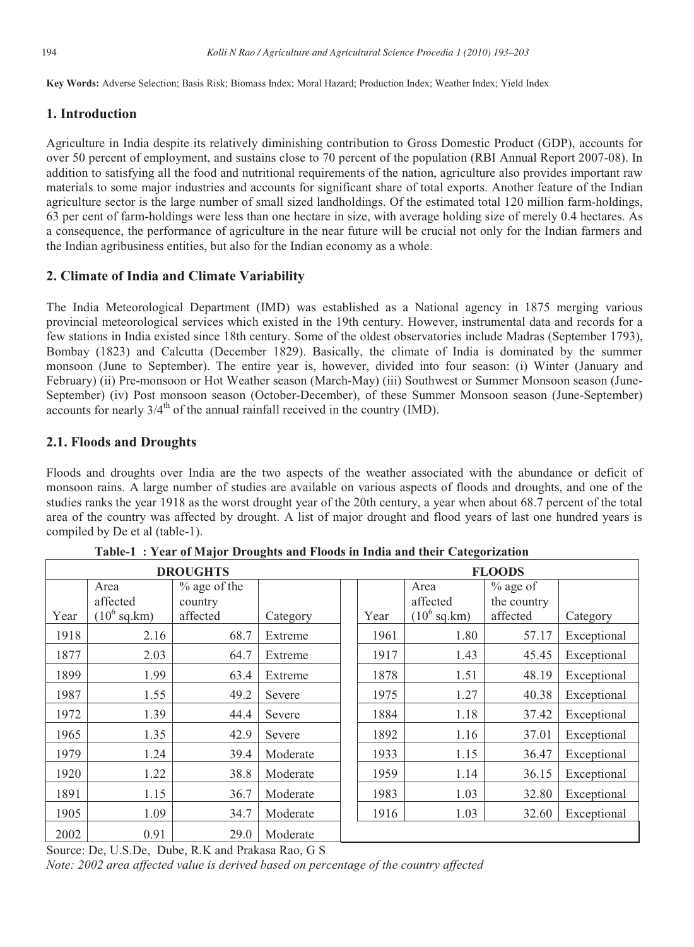**Key Words:** Adverse Selection; Basis Risk; Biomass Index; Moral Hazard; Production Index; Weather Index; Yield Index

#### **1. Introduction**

Agriculture in India despite its relatively diminishing contribution to Gross Domestic Product (GDP), accounts for over 50 percent of employment, and sustains close to 70 percent of the population (RBI Annual Report 2007-08). In addition to satisfying all the food and nutritional requirements of the nation, agriculture also provides important raw materials to some major industries and accounts for significant share of total exports. Another feature of the Indian agriculture sector is the large number of small sized landholdings. Of the estimated total 120 million farm-holdings, 63 per cent of farm-holdings were less than one hectare in size, with average holding size of merely 0.4 hectares. As a consequence, the performance of agriculture in the near future will be crucial not only for the Indian farmers and the Indian agribusiness entities, but also for the Indian economy as a whole.

## **2. Climate of India and Climate Variability**

The India Meteorological Department (IMD) was established as a National agency in 1875 merging various provincial meteorological services which existed in the 19th century. However, instrumental data and records for a few stations in India existed since 18th century. Some of the oldest observatories include Madras (September 1793), Bombay (1823) and Calcutta (December 1829). Basically, the climate of India is dominated by the summer monsoon (June to September). The entire year is, however, divided into four season: (i) Winter (January and February) (ii) Pre-monsoon or Hot Weather season (March-May) (iii) Southwest or Summer Monsoon season (June-September) (iv) Post monsoon season (October-December), of these Summer Monsoon season (June-September) accounts for nearly  $3/4<sup>th</sup>$  of the annual rainfall received in the country (IMD).

### **2.1. Floods and Droughts**

Floods and droughts over India are the two aspects of the weather associated with the abundance or deficit of monsoon rains. A large number of studies are available on various aspects of floods and droughts, and one of the studies ranks the year 1918 as the worst drought year of the 20th century, a year when about 68.7 percent of the total area of the country was affected by drought. A list of major drought and flood years of last one hundred years is compiled by De et al (table-1).

|      |                        | <b>DROUGHTS</b> |          | <b>FLOODS</b> |                        |             |             |  |  |
|------|------------------------|-----------------|----------|---------------|------------------------|-------------|-------------|--|--|
|      | Area                   | $\%$ age of the |          |               | Area                   | $%$ age of  |             |  |  |
|      | affected               | country         |          |               | affected               | the country |             |  |  |
| Year | $(10^6 \text{ sq.km})$ | affected        | Category | Year          | $(10^6 \text{ sq.km})$ | affected    | Category    |  |  |
| 1918 | 2.16                   | 68.7            | Extreme  | 1961          | 1.80                   | 57.17       | Exceptional |  |  |
| 1877 | 2.03                   | 64.7            | Extreme  | 1917          | 1.43                   | 45.45       | Exceptional |  |  |
| 1899 | 1.99                   | 63.4            | Extreme  | 1878          | 1.51                   | 48.19       | Exceptional |  |  |
| 1987 | 1.55                   | 49.2            | Severe   | 1975          | 1.27                   | 40.38       | Exceptional |  |  |
| 1972 | 1.39                   | 44.4            | Severe   | 1884          | 1.18                   | 37.42       | Exceptional |  |  |
| 1965 | 1.35                   | 42.9            | Severe   | 1892          | 1.16                   | 37.01       | Exceptional |  |  |
| 1979 | 1.24                   | 39.4            | Moderate | 1933          | 1.15                   | 36.47       | Exceptional |  |  |
| 1920 | 1.22                   | 38.8            | Moderate | 1959          | 1.14                   | 36.15       | Exceptional |  |  |
| 1891 | 1.15                   | 36.7            | Moderate | 1983          | 1.03                   | 32.80       | Exceptional |  |  |
| 1905 | 1.09                   | 34.7            | Moderate | 1916          | 1.03                   | 32.60       | Exceptional |  |  |
| 2002 | 0.91                   | 29.0            | Moderate |               |                        |             |             |  |  |

**Table-1 : Year of Major Droughts and Floods in India and their Categorization**

Source: De, U.S.De, Dube, R.K and Prakasa Rao, G S *Note: 2002 area affected value is derived based on percentage of the country affected*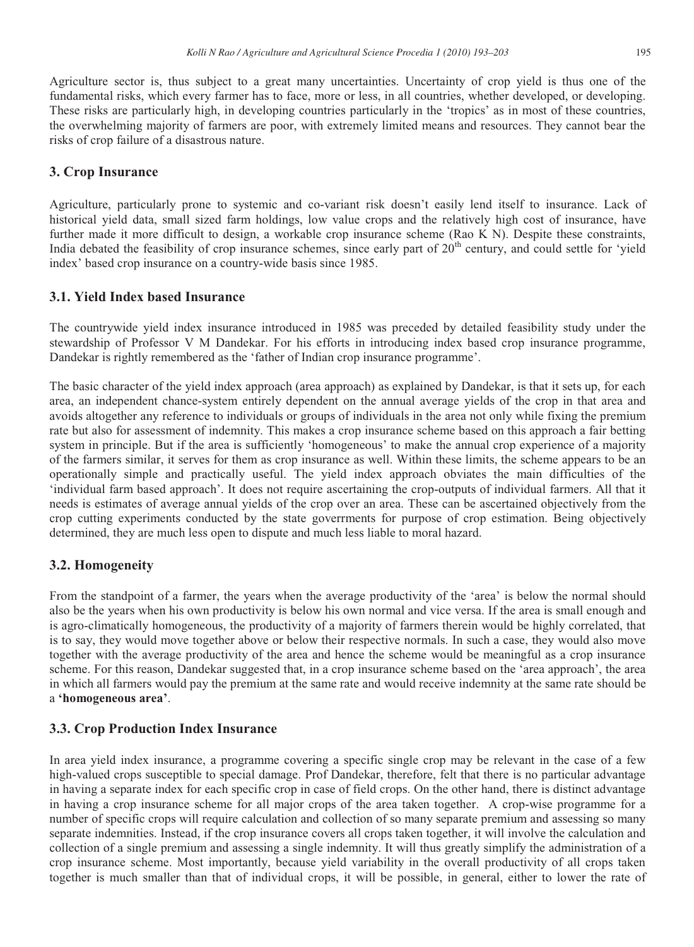Agriculture sector is, thus subject to a great many uncertainties. Uncertainty of crop yield is thus one of the fundamental risks, which every farmer has to face, more or less, in all countries, whether developed, or developing. These risks are particularly high, in developing countries particularly in the 'tropics' as in most of these countries, the overwhelming majority of farmers are poor, with extremely limited means and resources. They cannot bear the risks of crop failure of a disastrous nature.

## **3. Crop Insurance**

Agriculture, particularly prone to systemic and co-variant risk doesn't easily lend itself to insurance. Lack of historical yield data, small sized farm holdings, low value crops and the relatively high cost of insurance, have further made it more difficult to design, a workable crop insurance scheme (Rao K N). Despite these constraints, India debated the feasibility of crop insurance schemes, since early part of  $20<sup>th</sup>$  century, and could settle for 'yield index' based crop insurance on a country-wide basis since 1985.

## **3.1. Yield Index based Insurance**

The countrywide yield index insurance introduced in 1985 was preceded by detailed feasibility study under the stewardship of Professor V M Dandekar. For his efforts in introducing index based crop insurance programme, Dandekar is rightly remembered as the 'father of Indian crop insurance programme'.

The basic character of the yield index approach (area approach) as explained by Dandekar, is that it sets up, for each area, an independent chance-system entirely dependent on the annual average yields of the crop in that area and avoids altogether any reference to individuals or groups of individuals in the area not only while fixing the premium rate but also for assessment of indemnity. This makes a crop insurance scheme based on this approach a fair betting system in principle. But if the area is sufficiently 'homogeneous' to make the annual crop experience of a majority of the farmers similar, it serves for them as crop insurance as well. Within these limits, the scheme appears to be an operationally simple and practically useful. The yield index approach obviates the main difficulties of the 'individual farm based approach'. It does not require ascertaining the crop-outputs of individual farmers. All that it needs is estimates of average annual yields of the crop over an area. These can be ascertained objectively from the crop cutting experiments conducted by the state goverrments for purpose of crop estimation. Being objectively determined, they are much less open to dispute and much less liable to moral hazard.

# **3.2. Homogeneity**

From the standpoint of a farmer, the years when the average productivity of the 'area' is below the normal should also be the years when his own productivity is below his own normal and vice versa. If the area is small enough and is agro-climatically homogeneous, the productivity of a majority of farmers therein would be highly correlated, that is to say, they would move together above or below their respective normals. In such a case, they would also move together with the average productivity of the area and hence the scheme would be meaningful as a crop insurance scheme. For this reason, Dandekar suggested that, in a crop insurance scheme based on the 'area approach', the area in which all farmers would pay the premium at the same rate and would receive indemnity at the same rate should be a **'homogeneous area'**.

# **3.3. Crop Production Index Insurance**

In area yield index insurance, a programme covering a specific single crop may be relevant in the case of a few high-valued crops susceptible to special damage. Prof Dandekar, therefore, felt that there is no particular advantage in having a separate index for each specific crop in case of field crops. On the other hand, there is distinct advantage in having a crop insurance scheme for all major crops of the area taken together. A crop-wise programme for a number of specific crops will require calculation and collection of so many separate premium and assessing so many separate indemnities. Instead, if the crop insurance covers all crops taken together, it will involve the calculation and collection of a single premium and assessing a single indemnity. It will thus greatly simplify the administration of a crop insurance scheme. Most importantly, because yield variability in the overall productivity of all crops taken together is much smaller than that of individual crops, it will be possible, in general, either to lower the rate of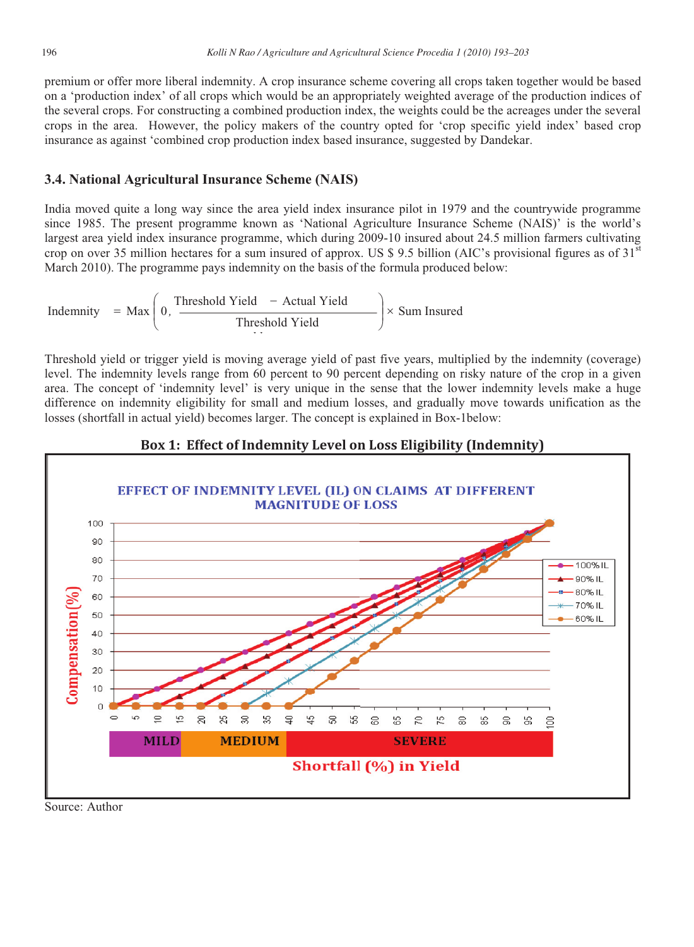premium or offer more liberal indemnity. A crop insurance scheme covering all crops taken together would be based on a 'production index' of all crops which would be an appropriately weighted average of the production indices of the several crops. For constructing a combined production index, the weights could be the acreages under the several crops in the area. However, the policy makers of the country opted for 'crop specific yield index' based crop insurance as against 'combined crop production index based insurance, suggested by Dandekar.

## **3.4. National Agricultural Insurance Scheme (NAIS)**

India moved quite a long way since the area yield index insurance pilot in 1979 and the countrywide programme since 1985. The present programme known as 'National Agriculture Insurance Scheme (NAIS)' is the world's largest area yield index insurance programme, which during 2009-10 insured about 24.5 million farmers cultivating crop on over 35 million hectares for a sum insured of approx. US \$ 9.5 billion (AIC's provisional figures as of  $31<sup>st</sup>$ March 2010). The programme pays indemnity on the basis of the formula produced below:

$$
Indemnity = Max \left( 0, \frac{Threshold Yield - Actual Yield}{Threshold Yield} \right) \times Sum Insured
$$

*ld*

Threshold yield or trigger yield is moving average yield of past five years, multiplied by the indemnity (coverage) level. The indemnity levels range from 60 percent to 90 percent depending on risky nature of the crop in a given area. The concept of 'indemnity level' is very unique in the sense that the lower indemnity levels make a huge difference on indemnity eligibility for small and medium losses, and gradually move towards unification as the losses (shortfall in actual yield) becomes larger. The concept is explained in Box-1below:



# **Box 1: Effect of Indemnity Level on Loss Eligibility (Indemnity)**

Source: Author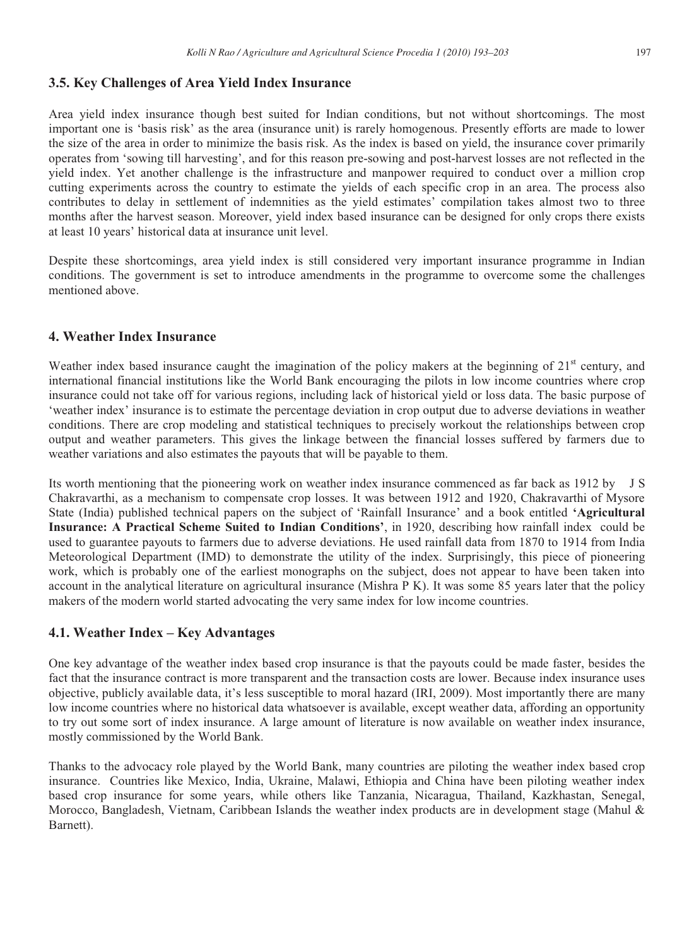#### **3.5. Key Challenges of Area Yield Index Insurance**

Area yield index insurance though best suited for Indian conditions, but not without shortcomings. The most important one is 'basis risk' as the area (insurance unit) is rarely homogenous. Presently efforts are made to lower the size of the area in order to minimize the basis risk. As the index is based on yield, the insurance cover primarily operates from 'sowing till harvesting', and for this reason pre-sowing and post-harvest losses are not reflected in the yield index. Yet another challenge is the infrastructure and manpower required to conduct over a million crop cutting experiments across the country to estimate the yields of each specific crop in an area. The process also contributes to delay in settlement of indemnities as the yield estimates' compilation takes almost two to three months after the harvest season. Moreover, yield index based insurance can be designed for only crops there exists at least 10 years' historical data at insurance unit level.

Despite these shortcomings, area yield index is still considered very important insurance programme in Indian conditions. The government is set to introduce amendments in the programme to overcome some the challenges mentioned above.

#### **4. Weather Index Insurance**

Weather index based insurance caught the imagination of the policy makers at the beginning of  $21<sup>st</sup>$  century, and international financial institutions like the World Bank encouraging the pilots in low income countries where crop insurance could not take off for various regions, including lack of historical yield or loss data. The basic purpose of 'weather index' insurance is to estimate the percentage deviation in crop output due to adverse deviations in weather conditions. There are crop modeling and statistical techniques to precisely workout the relationships between crop output and weather parameters. This gives the linkage between the financial losses suffered by farmers due to weather variations and also estimates the payouts that will be payable to them.

Its worth mentioning that the pioneering work on weather index insurance commenced as far back as 1912 by J S Chakravarthi, as a mechanism to compensate crop losses. It was between 1912 and 1920, Chakravarthi of Mysore State (India) published technical papers on the subject of 'Rainfall Insurance' and a book entitled **'Agricultural Insurance: A Practical Scheme Suited to Indian Conditions'**, in 1920, describing how rainfall index could be used to guarantee payouts to farmers due to adverse deviations. He used rainfall data from 1870 to 1914 from India Meteorological Department (IMD) to demonstrate the utility of the index. Surprisingly, this piece of pioneering work, which is probably one of the earliest monographs on the subject, does not appear to have been taken into account in the analytical literature on agricultural insurance (Mishra P K). It was some 85 years later that the policy makers of the modern world started advocating the very same index for low income countries.

## **4.1. Weather Index – Key Advantages**

One key advantage of the weather index based crop insurance is that the payouts could be made faster, besides the fact that the insurance contract is more transparent and the transaction costs are lower. Because index insurance uses objective, publicly available data, it's less susceptible to moral hazard (IRI, 2009). Most importantly there are many low income countries where no historical data whatsoever is available, except weather data, affording an opportunity to try out some sort of index insurance. A large amount of literature is now available on weather index insurance, mostly commissioned by the World Bank.

Thanks to the advocacy role played by the World Bank, many countries are piloting the weather index based crop insurance. Countries like Mexico, India, Ukraine, Malawi, Ethiopia and China have been piloting weather index based crop insurance for some years, while others like Tanzania, Nicaragua, Thailand, Kazkhastan, Senegal, Morocco, Bangladesh, Vietnam, Caribbean Islands the weather index products are in development stage (Mahul & Barnett).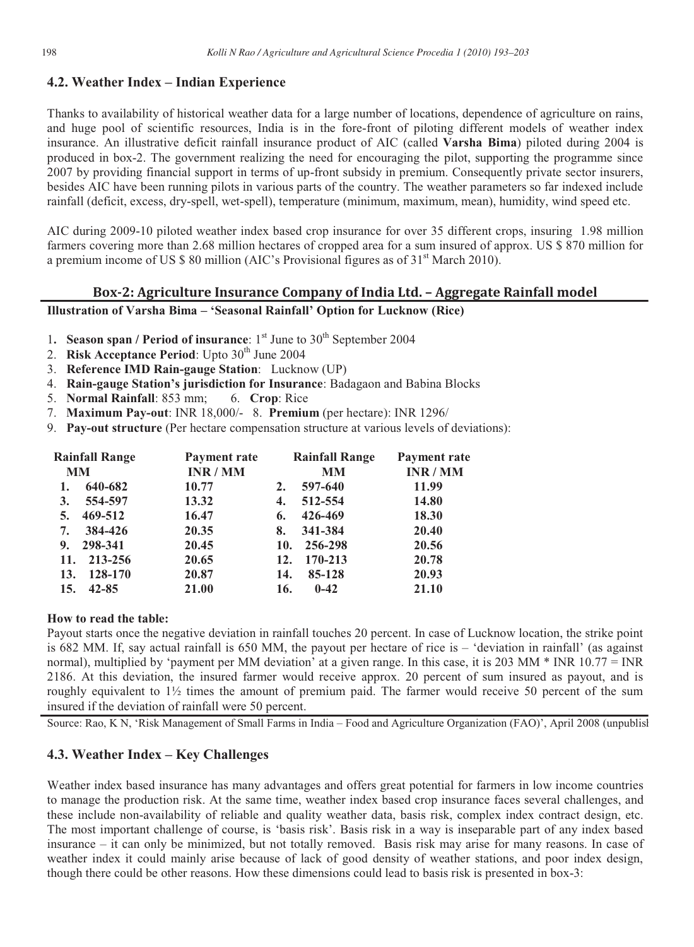### **4.2. Weather Index – Indian Experience**

Thanks to availability of historical weather data for a large number of locations, dependence of agriculture on rains, and huge pool of scientific resources, India is in the fore-front of piloting different models of weather index insurance. An illustrative deficit rainfall insurance product of AIC (called **Varsha Bima**) piloted during 2004 is produced in box-2. The government realizing the need for encouraging the pilot, supporting the programme since 2007 by providing financial support in terms of up-front subsidy in premium. Consequently private sector insurers, besides AIC have been running pilots in various parts of the country. The weather parameters so far indexed include rainfall (deficit, excess, dry-spell, wet-spell), temperature (minimum, maximum, mean), humidity, wind speed etc.

AIC during 2009-10 piloted weather index based crop insurance for over 35 different crops, insuring 1.98 million farmers covering more than 2.68 million hectares of cropped area for a sum insured of approx. US \$ 870 million for a premium income of US \$ 80 million (AIC's Provisional figures as of 31<sup>st</sup> March 2010).

#### **Box-2: Agriculture Insurance Company of India Ltd. – Aggregate Rainfall model**

#### **Illustration of Varsha Bima – 'Seasonal Rainfall' Option for Lucknow (Rice)**

- 1. **Season span / Period of insurance**: 1<sup>st</sup> June to 30<sup>th</sup> September 2004
- 2. **Risk Acceptance Period**: Upto 30<sup>th</sup> June 2004
- 3. **Reference IMD Rain-gauge Station**: Lucknow (UP)
- 4. **Rain-gauge Station's jurisdiction for Insurance**: Badagaon and Babina Blocks
- 5. **Normal Rainfall**: 853 mm; 6. **Crop**: Rice
- 7. **Maximum Pay-out**: INR 18,000/- 8. **Premium** (per hectare): INR 1296/
- 9. **Pay-out structure** (Per hectare compensation structure at various levels of deviations):

| <b>Rainfall Range</b> | Payment rate | <b>Rainfall Range</b> | Payment rate |
|-----------------------|--------------|-----------------------|--------------|
| <b>MM</b>             | INR/MM       | MМ                    | INR/MM       |
| 640-682               | 10.77        | 597-640<br>2.         | 11.99        |
| 554-597<br>3.         | 13.32        | 512-554<br>4.         | 14.80        |
| 469-512<br>5.         | 16.47        | 426-469<br>6.         | 18.30        |
| 384-426<br>7.         | 20.35        | 341-384<br>8.         | 20.40        |
| 298-341<br>9.         | 20.45        | 256-298<br>10.        | 20.56        |
| 213-256<br>11.        | 20.65        | $170 - 213$<br>12.    | 20.78        |
| 128-170<br>13.        | 20.87        | 85-128<br>14.         | 20.93        |
| $42 - 85$<br>15.      | 21.00        | $0 - 42$<br>16.       | 21.10        |

#### **How to read the table:**

Payout starts once the negative deviation in rainfall touches 20 percent. In case of Lucknow location, the strike point is 682 MM. If, say actual rainfall is 650 MM, the payout per hectare of rice is – 'deviation in rainfall' (as against normal), multiplied by 'payment per MM deviation' at a given range. In this case, it is 203 MM \* INR 10.77 = INR 2186. At this deviation, the insured farmer would receive approx. 20 percent of sum insured as payout, and is roughly equivalent to  $1\frac{1}{2}$  times the amount of premium paid. The farmer would receive 50 percent of the sum insured if the deviation of rainfall were 50 percent.

Source: Rao, K N, 'Risk Management of Small Farms in India – Food and Agriculture Organization (FAO)', April 2008 (unpublish

#### **4.3. Weather Index – Key Challenges**

Weather index based insurance has many advantages and offers great potential for farmers in low income countries to manage the production risk. At the same time, weather index based crop insurance faces several challenges, and these include non-availability of reliable and quality weather data, basis risk, complex index contract design, etc. The most important challenge of course, is 'basis risk'. Basis risk in a way is inseparable part of any index based insurance – it can only be minimized, but not totally removed. Basis risk may arise for many reasons. In case of weather index it could mainly arise because of lack of good density of weather stations, and poor index design, though there could be other reasons. How these dimensions could lead to basis risk is presented in box-3: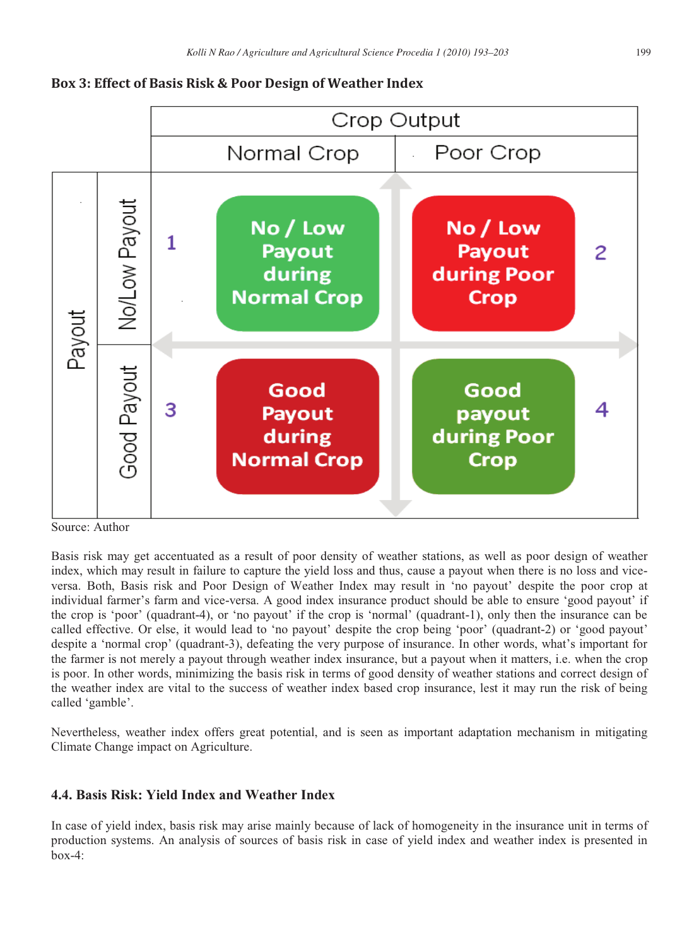



Source: Author

Basis risk may get accentuated as a result of poor density of weather stations, as well as poor design of weather index, which may result in failure to capture the yield loss and thus, cause a payout when there is no loss and viceversa. Both, Basis risk and Poor Design of Weather Index may result in 'no payout' despite the poor crop at individual farmer's farm and vice-versa. A good index insurance product should be able to ensure 'good payout' if the crop is 'poor' (quadrant-4), or 'no payout' if the crop is 'normal' (quadrant-1), only then the insurance can be called effective. Or else, it would lead to 'no payout' despite the crop being 'poor' (quadrant-2) or 'good payout' despite a 'normal crop' (quadrant-3), defeating the very purpose of insurance. In other words, what's important for the farmer is not merely a payout through weather index insurance, but a payout when it matters, i.e. when the crop is poor. In other words, minimizing the basis risk in terms of good density of weather stations and correct design of the weather index are vital to the success of weather index based crop insurance, lest it may run the risk of being called 'gamble'.

Nevertheless, weather index offers great potential, and is seen as important adaptation mechanism in mitigating Climate Change impact on Agriculture.

#### **4.4. Basis Risk: Yield Index and Weather Index**

In case of yield index, basis risk may arise mainly because of lack of homogeneity in the insurance unit in terms of production systems. An analysis of sources of basis risk in case of yield index and weather index is presented in  $box-4$ :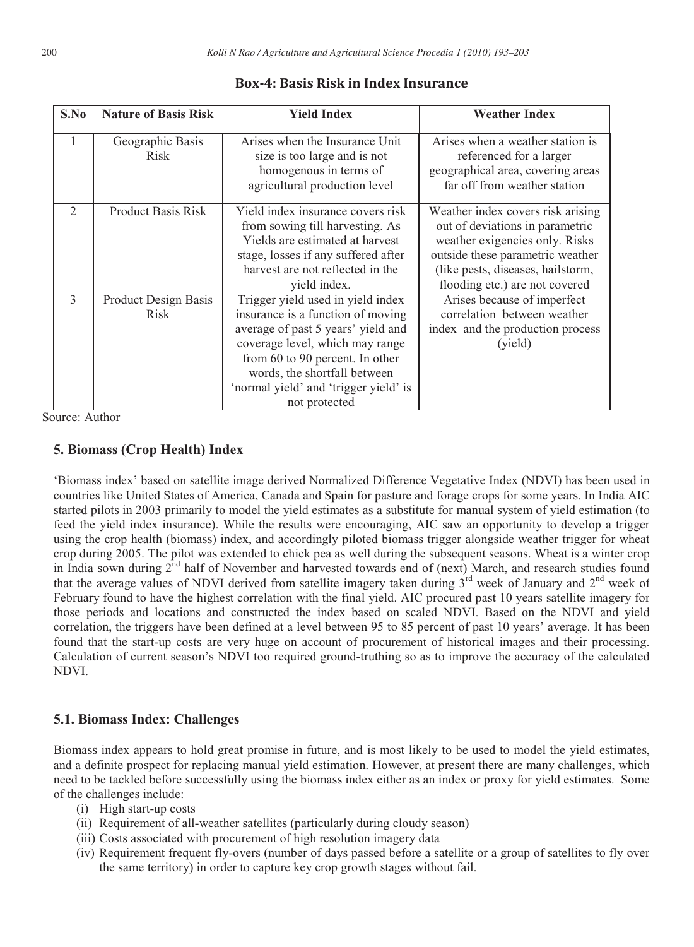| S.No                        | <b>Nature of Basis Risk</b>                | <b>Yield Index</b>                                                                                                                                                                                                                                                           | <b>Weather Index</b>                                                                                                                                                                                              |  |  |
|-----------------------------|--------------------------------------------|------------------------------------------------------------------------------------------------------------------------------------------------------------------------------------------------------------------------------------------------------------------------------|-------------------------------------------------------------------------------------------------------------------------------------------------------------------------------------------------------------------|--|--|
| 1                           | Geographic Basis<br><b>Risk</b>            | Arises when the Insurance Unit<br>size is too large and is not<br>homogenous in terms of<br>agricultural production level                                                                                                                                                    | Arises when a weather station is<br>referenced for a larger<br>geographical area, covering areas<br>far off from weather station                                                                                  |  |  |
| $\mathcal{D}_{\mathcal{L}}$ | <b>Product Basis Risk</b>                  | Yield index insurance covers risk<br>from sowing till harvesting. As<br>Yields are estimated at harvest<br>stage, losses if any suffered after<br>harvest are not reflected in the<br>yield index.                                                                           | Weather index covers risk arising<br>out of deviations in parametric<br>weather exigencies only. Risks<br>outside these parametric weather<br>(like pests, diseases, hailstorm,<br>flooding etc.) are not covered |  |  |
| $\mathcal{E}$               | <b>Product Design Basis</b><br><b>Risk</b> | Trigger yield used in yield index<br>insurance is a function of moving<br>average of past 5 years' yield and<br>coverage level, which may range<br>from 60 to 90 percent. In other<br>words, the shortfall between<br>'normal yield' and 'trigger yield' is<br>not protected | Arises because of imperfect<br>correlation between weather<br>index and the production process<br>(yield)                                                                                                         |  |  |

### **Box-4: Basis Risk in Index Insurance**

Source: Author

### **5. Biomass (Crop Health) Index**

'Biomass index' based on satellite image derived Normalized Difference Vegetative Index (NDVI) has been used in countries like United States of America, Canada and Spain for pasture and forage crops for some years. In India AIC started pilots in 2003 primarily to model the yield estimates as a substitute for manual system of yield estimation (to feed the yield index insurance). While the results were encouraging, AIC saw an opportunity to develop a trigger using the crop health (biomass) index, and accordingly piloted biomass trigger alongside weather trigger for wheat crop during 2005. The pilot was extended to chick pea as well during the subsequent seasons. Wheat is a winter crop in India sown during 2<sup>nd</sup> half of November and harvested towards end of (next) March, and research studies found that the average values of NDVI derived from satellite imagery taken during  $3<sup>rd</sup>$  week of January and  $2<sup>nd</sup>$  week of February found to have the highest correlation with the final yield. AIC procured past 10 years satellite imagery for those periods and locations and constructed the index based on scaled NDVI. Based on the NDVI and yield correlation, the triggers have been defined at a level between 95 to 85 percent of past 10 years' average. It has been found that the start-up costs are very huge on account of procurement of historical images and their processing. Calculation of current season's NDVI too required ground-truthing so as to improve the accuracy of the calculated NDVI.

## **5.1. Biomass Index: Challenges**

Biomass index appears to hold great promise in future, and is most likely to be used to model the yield estimates, and a definite prospect for replacing manual yield estimation. However, at present there are many challenges, which need to be tackled before successfully using the biomass index either as an index or proxy for yield estimates. Some of the challenges include:

- (i) High start-up costs
- (ii) Requirement of all-weather satellites (particularly during cloudy season)
- (iii) Costs associated with procurement of high resolution imagery data
- (iv) Requirement frequent fly-overs (number of days passed before a satellite or a group of satellites to fly over the same territory) in order to capture key crop growth stages without fail.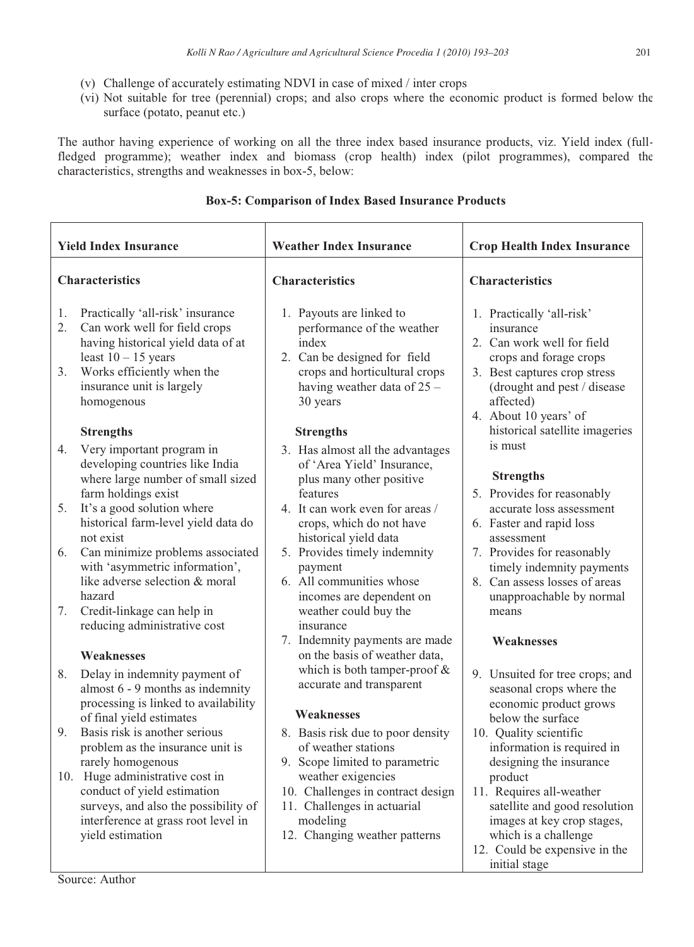- (v) Challenge of accurately estimating NDVI in case of mixed / inter crops
- (vi) Not suitable for tree (perennial) crops; and also crops where the economic product is formed below the surface (potato, peanut etc.)

The author having experience of working on all the three index based insurance products, viz. Yield index (fullfledged programme); weather index and biomass (crop health) index (pilot programmes), compared the characteristics, strengths and weaknesses in box-5, below:

| <b>Yield Index Insurance</b>                                                                                                                                                                                                | <b>Weather Index Insurance</b>                                                                                                                                                | <b>Crop Health Index Insurance</b>                                                                                                                                                                  |  |  |  |
|-----------------------------------------------------------------------------------------------------------------------------------------------------------------------------------------------------------------------------|-------------------------------------------------------------------------------------------------------------------------------------------------------------------------------|-----------------------------------------------------------------------------------------------------------------------------------------------------------------------------------------------------|--|--|--|
| <b>Characteristics</b>                                                                                                                                                                                                      | <b>Characteristics</b>                                                                                                                                                        | <b>Characteristics</b>                                                                                                                                                                              |  |  |  |
| Practically 'all-risk' insurance<br>1.<br>Can work well for field crops<br>2.<br>having historical yield data of at<br>least $10 - 15$ years<br>Works efficiently when the<br>3.<br>insurance unit is largely<br>homogenous | 1. Payouts are linked to<br>performance of the weather<br>index<br>2. Can be designed for field<br>crops and horticultural crops<br>having weather data of $25 -$<br>30 years | 1. Practically 'all-risk'<br>insurance<br>2. Can work well for field<br>crops and forage crops<br>3. Best captures crop stress<br>(drought and pest / disease<br>affected)<br>4. About 10 years' of |  |  |  |
| <b>Strengths</b>                                                                                                                                                                                                            | <b>Strengths</b>                                                                                                                                                              | historical satellite imageries                                                                                                                                                                      |  |  |  |
| Very important program in<br>4.<br>developing countries like India<br>where large number of small sized                                                                                                                     | 3. Has almost all the advantages<br>of 'Area Yield' Insurance,<br>plus many other positive                                                                                    | is must<br><b>Strengths</b>                                                                                                                                                                         |  |  |  |
| farm holdings exist<br>It's a good solution where<br>5.<br>historical farm-level yield data do                                                                                                                              | features<br>4. It can work even for areas /<br>crops, which do not have                                                                                                       | 5. Provides for reasonably<br>accurate loss assessment<br>6. Faster and rapid loss                                                                                                                  |  |  |  |
| not exist<br>Can minimize problems associated<br>6.<br>with 'asymmetric information',<br>like adverse selection & moral<br>hazard<br>Credit-linkage can help in                                                             | historical yield data<br>5. Provides timely indemnity<br>payment<br>6. All communities whose<br>incomes are dependent on<br>weather could buy the                             | assessment<br>7. Provides for reasonably<br>timely indemnity payments<br>8. Can assess losses of areas<br>unapproachable by normal                                                                  |  |  |  |
| 7.<br>reducing administrative cost                                                                                                                                                                                          | insurance<br>7. Indemnity payments are made                                                                                                                                   | means<br>Weaknesses                                                                                                                                                                                 |  |  |  |
| Weaknesses                                                                                                                                                                                                                  | on the basis of weather data,                                                                                                                                                 |                                                                                                                                                                                                     |  |  |  |
| Delay in indemnity payment of<br>8.<br>almost 6 - 9 months as indemnity<br>processing is linked to availability                                                                                                             | which is both tamper-proof $\&$<br>accurate and transparent                                                                                                                   | 9. Unsuited for tree crops; and<br>seasonal crops where the<br>economic product grows                                                                                                               |  |  |  |
| of final yield estimates                                                                                                                                                                                                    | <b>Weaknesses</b>                                                                                                                                                             | below the surface                                                                                                                                                                                   |  |  |  |
| Basis risk is another serious<br>9.<br>problem as the insurance unit is<br>rarely homogenous<br>10. Huge administrative cost in                                                                                             | 8. Basis risk due to poor density<br>of weather stations<br>9. Scope limited to parametric<br>weather exigencies                                                              | 10. Quality scientific<br>information is required in<br>designing the insurance<br>product                                                                                                          |  |  |  |
| conduct of yield estimation<br>surveys, and also the possibility of<br>interference at grass root level in<br>yield estimation                                                                                              | 10. Challenges in contract design<br>11. Challenges in actuarial<br>modeling<br>12. Changing weather patterns                                                                 | 11. Requires all-weather<br>satellite and good resolution<br>images at key crop stages,<br>which is a challenge<br>12. Could be expensive in the<br>initial stage                                   |  |  |  |
| $S_{\text{oumon}}$ $\Lambda$ uthor                                                                                                                                                                                          |                                                                                                                                                                               |                                                                                                                                                                                                     |  |  |  |

#### **Box-5: Comparison of Index Based Insurance Products**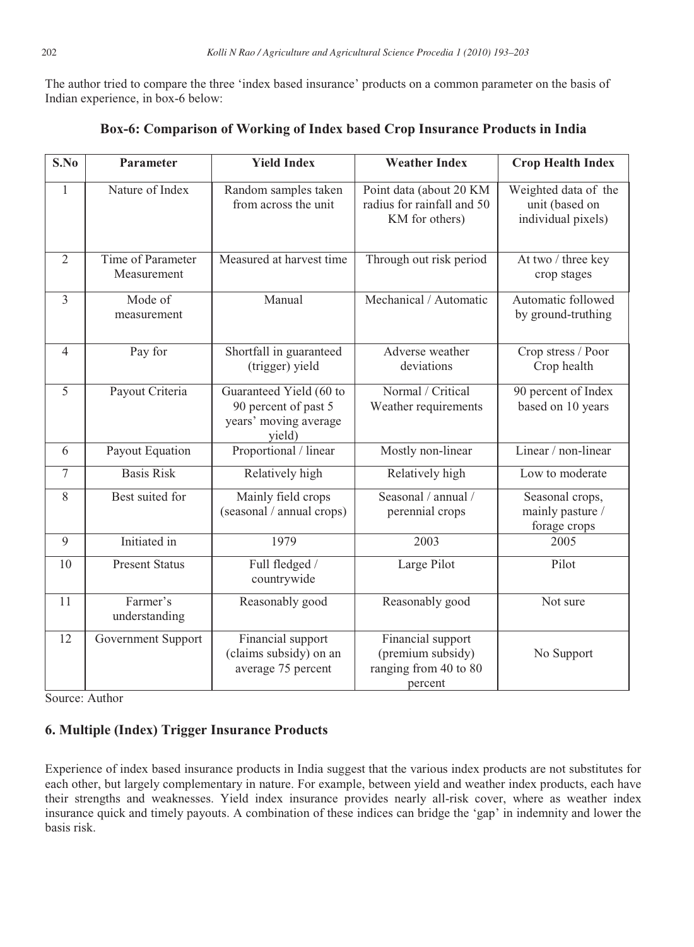The author tried to compare the three 'index based insurance' products on a common parameter on the basis of Indian experience, in box-6 below:

| S.No           | Parameter                                                    | <b>Yield Index</b>                                                                 | <b>Weather Index</b>                                                       | <b>Crop Health Index</b>                                     |  |
|----------------|--------------------------------------------------------------|------------------------------------------------------------------------------------|----------------------------------------------------------------------------|--------------------------------------------------------------|--|
| 1              | Nature of Index                                              | Random samples taken<br>from across the unit                                       | Point data (about 20 KM<br>radius for rainfall and 50<br>KM for others)    | Weighted data of the<br>unit (based on<br>individual pixels) |  |
| 2              | Time of Parameter<br>Measured at harvest time<br>Measurement |                                                                                    | Through out risk period                                                    | At two / three key<br>crop stages                            |  |
| 3              | Mode of<br>measurement                                       | Manual                                                                             | Mechanical / Automatic                                                     | Automatic followed<br>by ground-truthing                     |  |
| $\overline{4}$ | Pay for<br>Shortfall in guaranteed<br>(trigger) yield        |                                                                                    | Adverse weather<br>deviations                                              | Crop stress / Poor<br>Crop health                            |  |
| 5              | Payout Criteria                                              | Guaranteed Yield (60 to<br>90 percent of past 5<br>years' moving average<br>yield) | Normal / Critical<br>Weather requirements                                  | 90 percent of Index<br>based on 10 years                     |  |
| 6              | Payout Equation                                              | Proportional / linear                                                              | Mostly non-linear                                                          | Linear / non-linear                                          |  |
| $\overline{7}$ | <b>Basis Risk</b>                                            | Relatively high                                                                    | Relatively high                                                            | Low to moderate                                              |  |
| 8              | Best suited for                                              | Mainly field crops<br>(seasonal / annual crops)                                    | Seasonal / annual /<br>perennial crops                                     | Seasonal crops,<br>mainly pasture /<br>forage crops          |  |
| 9              | Initiated in                                                 | 1979                                                                               | 2003                                                                       | 2005                                                         |  |
| 10             | <b>Present Status</b>                                        | Full fledged /<br>countrywide                                                      | Large Pilot                                                                | Pilot                                                        |  |
| 11             | Farmer's<br>understanding                                    | Reasonably good                                                                    | Reasonably good                                                            | Not sure                                                     |  |
| 12             | Government Support                                           | Financial support<br>(claims subsidy) on an<br>average 75 percent                  | Financial support<br>(premium subsidy)<br>ranging from 40 to 80<br>percent | No Support                                                   |  |

|  | Box-6: Comparison of Working of Index based Crop Insurance Products in India |  |  |  |  |  |  |  |  |
|--|------------------------------------------------------------------------------|--|--|--|--|--|--|--|--|
|--|------------------------------------------------------------------------------|--|--|--|--|--|--|--|--|

Source: Author

# **6. Multiple (Index) Trigger Insurance Products**

Experience of index based insurance products in India suggest that the various index products are not substitutes for each other, but largely complementary in nature. For example, between yield and weather index products, each have their strengths and weaknesses. Yield index insurance provides nearly all-risk cover, where as weather index insurance quick and timely payouts. A combination of these indices can bridge the 'gap' in indemnity and lower the basis risk.